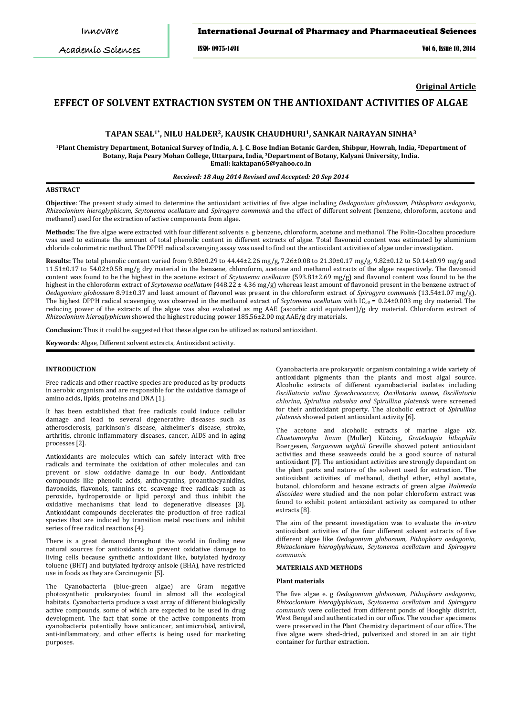Academic Sciences

# **Seal** *et al.* International Journal of Pharmacy and Pharmaceutical Sciences

*Int J Pharm Pharm Sci, Vol 6, Issue 10, 242-245* ISSN- 0975-1491 Vol 6, Issue 10, 2014

**Original Article**

# **EFFECT OF SOLVENT EXTRACTION SYSTEM ON THE ANTIOXIDANT ACTIVITIES OF ALGAE**

## **TAPAN SEAL1\*, NILU HALDER2, KAUSIK CHAUDHURI1, SANKAR NARAYAN SINHA3**

**1Plant Chemistry Department, Botanical Survey of India, A. J. C. Bose Indian Botanic Garden, Shibpur, Howrah, India, 2Department of Botany, Raja Peary Mohan College, Uttarpara, India, 3 Department of Botany, Kalyani University, India. Email: kaktapan65@yahoo.co.in**

#### *Received: 18 Aug 2014 Revised and Accepted: 20 Sep 2014*

# **ABSTRACT**

**Objective**: The present study aimed to determine the antioxidant activities of five algae including *Oedogonium globossum, Pithophora oedogonia, Rhizoclonium hieroglyphicum*, *Scytonema ocellatum* and *Spirogyra communis* and the effect of different solvent (benzene, chloroform, acetone and methanol) used for the extraction of active components from algae.

**Methods:** The five algae were extracted with four different solvents e. g benzene, chloroform, acetone and methanol. The Folin-Ciocalteu procedure was used to estimate the amount of total phenolic content in different extracts of algae. Total flavonoid content was estimated by aluminium chloride colorimetric method. The DPPH radical scavenging assay was used to find out the antioxidant activities of algae under investigation.

**Results:** The total phenolic content varied from 9.80±0.29 to 44.44±2.26 mg/g, 7.26±0.08 to 21.30±0.17 mg/g, 9.82±0.12 to 50.14±0.99 mg/g and 11.51±0.17 to 54.02±0.58 mg/g dry material in the benzene, chloroform, acetone and methanol extracts of the algae respectively. The flavonoid content was found to be the highest in the acetone extract of *Scytonema ocellatum* (593.81±2.69 mg/g) and flavonol content was found to be the highest in the chloroform extract of *Scytonema ocellatum* (448.22 ± 4.36 mg/g) whereas least amount of flavonoid present in the benzene extract of *Oedogonium globossum* 8.91±0.37 and least amount of flavonol was present in the chloroform extract of *Spirogyra communis* (13.54±1.07 mg/g). The highest DPPH radical scavenging was observed in the methanol extract of *Scytonema ocellatum* with  $IC_{50} = 0.24 \pm 0.003$  mg dry material. The reducing power of the extracts of the algae was also evaluated as mg AAE (ascorbic acid equivalent)/g dry material. Chloroform extract of *Rhizoclonium hieroglyphicum* showed the highest reducing power 185.56±2.00 mg AAE/g dry materials.

**Conclusion:** Thus it could be suggested that these algae can be utilized as natural antioxidant.

**Keywords**: Algae, Different solvent extracts, Antioxidant activity.

#### **INTRODUCTION**

Free radicals and other reactive species are produced as by products in aerobic organism and are responsible for the oxidative damage of amino acids, lipids, proteins and DNA [1].

It has been established that free radicals could induce cellular damage and lead to several degenerative diseases such as atherosclerosis, parkinson's disease, alzheimer's disease, stroke, arthritis, chronic inflammatory diseases, cancer, AIDS and in aging processes [2].

Antioxidants are molecules which can safely interact with free radicals and terminate the oxidation of other molecules and can prevent or slow oxidative damage in our body. Antioxidant compounds like phenolic acids, anthocyanins, proanthocyanidins, flavonoids, flavonols, tannins etc. scavenge free radicals such as peroxide, hydroperoxide or lipid peroxyl and thus inhibit the oxidative mechanisms that lead to degenerative diseases [3]. Antioxidant compounds decelerates the production of free radical species that are induced by transition metal reactions and inhibit series o[f free radical](http://209.238.2.121/asci/result.php?searchin=Keywords&cat=&ascicat=ALL&Submit=Search&keyword=free+radical) reactions [4].

There is a great demand throughout the world in finding new natural sources for antioxidants to prevent oxidative damage to living cells because synthetic antioxidant like, butylated hydroxy toluene (BHT) and butylated hydroxy anisole (BHA), have restricted use in foods as they are Carcinogenic [5].

The Cyanobacteria (blue-green algae) are Gram negative photosynthetic prokaryotes found in almost all the ecological habitats. Cyanobacteria produce a vast array of different biologically active compounds, some of which are expected to be used in drug development. The fact that some of the active components from cyanobacteria potentially have anticancer, antimicrobial, antiviral, anti-inflammatory, and other effects is being used for marketing purposes.

Cyanobacteria are prokaryotic organism containing a wide variety of antioxidant pigments than the plants and most algal source. Alcoholic extracts of different cyanobacterial isolates including *Oscillatoria salina Synechcococcus, Oscillatoria annae, Oscillatoria chlorina, Spirulina sabsalsa and Spirullina platensis* were screened for their antioxidant property. The alcoholic extract of *Spirullina platensis* showed potent antioxidant activity [6].

The acetone and alcoholic extracts of marine algae *viz*. *Chaetomorpha linum* (Muller) Kützing, *Grateloupia lithophila* Boergesen, *Sargassum wightii* Greville showed potent antioxidant activities and these seaweeds could be a good source of natural antioxidant [7]. The antioxidant activities are strongly dependant on the plant parts and nature of the solvent used for extraction. The antioxidant activities of methanol, diethyl ether, ethyl acetate, butanol, chloroform and hexane extracts of green algae *Halimeda discoidea* were studied and the non polar chloroform extract was found to exhibit potent antioxidant activity as compared to other extracts [8].

The aim of the present investigation was to evaluate the *in-vitro* antioxidant activities of the four different solvent extracts of five different algae like *Oedogonium globossum, Pithophora oedogonia, Rhizoclonium hieroglyphicum*, *Scytonema ocellatum* and *Spirogyra communis.*

# **MATERIALS AND METHODS**

# **Plant materials**

The five algae e. g *Oedogonium globossum, Pithophora oedogonia, Rhizoclonium hieroglyphicum*, *Scytonema ocellatum* and *Spirogyra communis* were collected from different ponds of Hooghly district, West Bengal and authenticated in our office. The voucher specimens were preserved in the Plant Chemistry department of our office. The five algae were shed-dried, pulverized and stored in an air tight container for further extraction.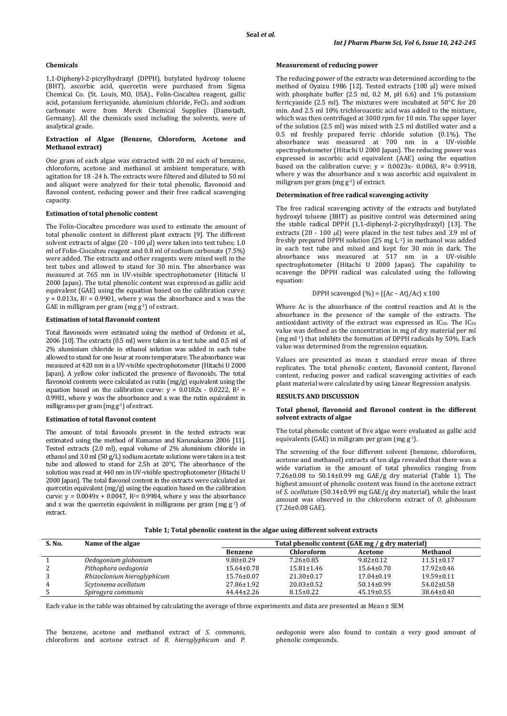#### **Chemicals**

1,1-Diphenyl-2-picrylhydrazyl (DPPH), butylated hydroxy toluene (BHT), ascorbic acid, quercetin were purchased from Sigma Chemical Co. (St. Louis, MO, USA)., Folin-Ciocalteu reagent, gallic acid, potassium ferricyanide, aluminium chloride, FeCl<sub>3</sub> and sodium carbonate were from Merck Chemical Supplies (Damstadt, Germany). All the chemicals used including the solvents, were of analytical grade.

## **Extraction of Algae (Benzene, Chloroform, Acetone and Methanol extract)**

One gram of each algae was extracted with 20 ml each of benzene, chloroform, acetone and methanol at ambient temperature, with agitation for 18 -24 h. The extracts were filtered and diluted to 50 ml and aliquot were analyzed for their total phenolic, flavonoid and flavonol content, reducing power and their free radical scavenging capacity.

#### **Estimation of total phenolic content**

The Folin-Ciocalteu procedure was used to estimate the amount of total phenolic content in different plant extracts [9]. The different solvent extracts of algae  $(20 - 100 \,\mu\text{I})$  were taken into test tubes; 1.0 ml of Folin-Ciocalteu reagent and 0.8 ml of sodium carbonate (7.5%) were added. The extracts and other reagents were mixed well in the test tubes and allowed to stand for 30 min. The absorbance was measured at 765 nm in UV-visible spectrophotometer (Hitachi U 2000 Japan). The total phenolic content was expressed as gallic acid equivalent (GAE) using the equation based on the calibration curve:  $y = 0.013x$ ,  $R^2 = 0.9901$ , where y was the absorbance and x was the GAE in milligram per gram (mg  $g<sup>-1</sup>$ ) of extract.

## **Estimation of total flavonoid content**

Total flavonoids were estimated using the method of Ordonez et al., 2006 [10]. The extracts (0.5 ml) were taken in a test tube and 0.5 ml of 2% aluminium chloride in ethanol solution was added in each tube allowed to stand for one hour at room temperature. The absorbance was measured at 420 nm in a UV-visible spectrophotometer (Hitachi U 2000 Japan). A yellow color indicated the presence of flavonoids. The total flavonoid contents were calculated as rutin (mg/g) equivalent using the equation based on the calibration curve:  $y = 0.0182x - 0.0222$ ,  $R^2 =$ 0.9981, where y was the absorbance and x was the rutin equivalent in milligrams per gram (mg g-1 ) of extract.

# **Estimation of total flavonol content**

The amount of total flavonols present in the tested extracts was estimated using the method of Kumaran and Karunakaran 2006 [11]. Tested extracts (2.0 ml), equal volume of 2% aluminium chloride in ethanol and 3.0 ml (50 g/L) sodium acetate solutions were taken in a test tube and allowed to stand for 2.5h at 20°C. The absorbance of the solution was read at 440 nm in UV-visible spectrophotometer (Hitachi U 2000 Japan). The total flavonol content in the extracts were calculated as quercetin equivalent (mg/g) using the equation based on the calibration curve:  $y = 0.0049x + 0.0047$ ,  $R^2 = 0.9984$ , where y was the absorbance and x was the quercetin equivalent in milligrams per gram (mg  $g<sup>-1</sup>$ ) of extract.

## **Measurement of reducing power**

The reducing power of the extracts was determined according to the method of Oyaizu 1986 [12]. Tested extracts (100 µl) were mixed with phosphate buffer (2.5 ml, 0.2 M, pH 6.6) and 1% potassium ferricyanide (2.5 ml). The mixtures were incubated at 50°C for 20 min. And 2.5 ml 10% trichloroacetic acid was added to the mixture, which was then centrifuged at 3000 rpm for 10 min. The upper layer of the solution (2.5 ml) was mixed with 2.5 ml distilled water and a 0.5 ml freshly prepared ferric chloride solution (0.1%). The absorbance was measured at 700 nm in a UV-visible spectrophotometer (Hitachi U 2000 Japan). The reducing power was expressed in ascorbic acid equivalent (AAE) using the equation based on the calibration curve:  $y = 0.0023x - 0.0063$ ,  $R^2 = 0.9918$ , where y was the absorbance and x was ascorbic acid equivalent in miligram per gram (mg g-1 ) of extract.

#### **Determination of free radical scavenging activity**

The free radical scavenging activity of the extracts and butylated hydroxyl toluene (BHT) as positive control was determined using the stable radical DPPH (1,1-diphenyl-2-picrylhydrazyl) [13]. The extracts (20 - 100 µl) were placed in the test tubes and 3.9 ml of freshly prepared DPPH solution  $(25 \text{ mg } L^{-1})$  in methanol was added in each test tube and mixed and kept for 30 min in dark. The absorbance was measured at 517 nm in a UV-visible spectrophotometer (Hitachi U 2000 Japan). The capability to scavenge the DPPH radical was calculated using the following equation:

## DPPH scavenged  $(\% ) = \{ (Ac - At)/Ac \}$  x 100

Where Ac is the absorbance of the control reaction and At is the absorbance in the presence of the sample of the extracts. The antioxidant activity of the extract was expressed as IC<sub>50</sub>. The IC<sub>50</sub> value was defined as the concentration in mg of dry material per ml (mg ml-1) that inhibits the formation of DPPH radicals by 50%. Each value was determined from the regression equation.

Values are presented as mean  $\pm$  standard error mean of three replicates. The total phenolic content, flavonoid content, flavonol content, reducing power and radical scavenging activities of each plant material were calculated by using Linear Regression analysis.

# **RESULTS AND DISCUSSION**

#### **Total phenol, flavonoid and flavonol content in the different solvent extracts of algae**

The total phenolic content of five algae were evaluated as gallic acid equivalents (GAE) in miligram per gram (mg  $g^{-1}$ ).

The screening of the four different solvent (benzene, chloroform, acetone and methanol) extracts of ten alga revealed that there was a wide variation in the amount of total phenolics ranging from 7.26±0.08 to 50.14±0.99 mg GAE/g dry material (Table 1). The highest amount of phenolic content was found in the acetone extract of *S. ocellatum* (50.14±0.99 mg GAE/g dry material), while the least amount was observed in the chloroform extract of *O. globossum*  (7.26±0.08 GAE).

#### **Table 1; Total phenolic content in the algae using different solvent extracts**

| S. No. | Name of the algae           | Total phenolic content (GAE mg / g dry material) |                   |                  |                  |
|--------|-----------------------------|--------------------------------------------------|-------------------|------------------|------------------|
|        |                             | <b>Benzene</b>                                   | <b>Chloroform</b> | Acetone          | Methanol         |
|        | Oedogonium globossum        | $9.80 \pm 0.29$                                  | $7.26 \pm 0.85$   | $9.82 \pm 0.12$  | $11.51 \pm 0.17$ |
|        | Pithophora oedogonia        | $15.64 \pm 0.78$                                 | $15.81 \pm 1.46$  | $15.64 \pm 0.70$ | $17.92 \pm 0.46$ |
|        | Rhizoclonium hieroglyphicum | $15.76 \pm 0.07$                                 | $21.30 \pm 0.17$  | $17.04 \pm 0.19$ | $19.59 \pm 0.11$ |
| 4      | Scytonema ocellatum         | 27.86±1.92                                       | $20.03 \pm 0.52$  | $50.14 \pm 0.99$ | $54.02 \pm 0.58$ |
|        | Spirogyra communis          | $44.44 \pm 2.26$                                 | $8.15 \pm 0.22$   | $45.19 \pm 0.55$ | $38.64 \pm 0.40$ |

Each value in the table was obtained by calculating the average of three experiments and data are presented as Mean ± SEM

The benzene, acetone and methanol extract of *S. communis*, chloroform and acetone extract of *R. hieroglyphicum* and *P.* *oedogonia* were also found to contain a very good amount of phenolic compounds.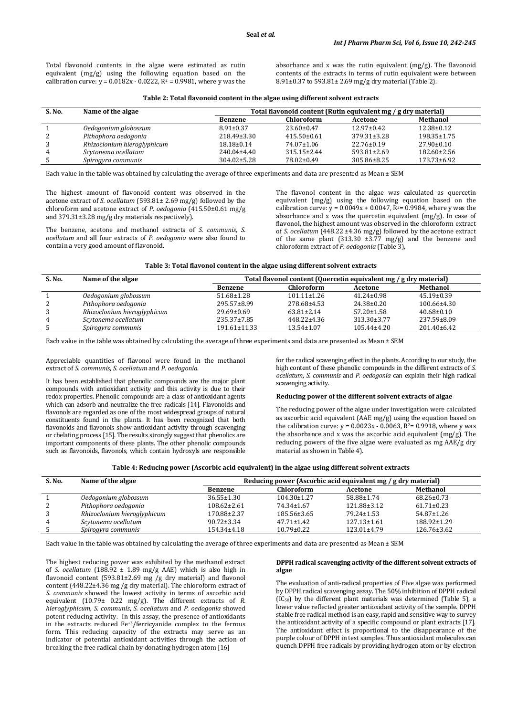Total flavonoid contents in the algae were estimated as rutin equivalent (mg/g) using the following equation based on the calibration curve:  $y = 0.0182x - 0.0222$ ,  $R^2 = 0.9981$ , where y was the absorbance and x was the rutin equivalent (mg/g). The flavonoid contents of the extracts in terms of rutin equivalent were between 8.91±0.37 to 593.81± 2.69 mg/g dry material (Table 2).

| S. No. | Name of the algae           | Total flavonoid content (Rutin equivalent mg / g dry material) |                   |                   |                   |
|--------|-----------------------------|----------------------------------------------------------------|-------------------|-------------------|-------------------|
|        |                             | Benzene                                                        | Chloroform        | Acetone           | Methanol          |
|        | Oedogonium globossum        | $8.91 \pm 0.37$                                                | $23.60 \pm 0.47$  | $12.97 \pm 0.42$  | $12.38 \pm 0.12$  |
| ∠      | Pithophora oedogonia        | $218.49 \pm 3.30$                                              | $415.50 \pm 0.61$ | $379.31 \pm 3.28$ | $198.35 \pm 1.75$ |
|        | Rhizoclonium hieroglyphicum | $18.18 \pm 0.14$                                               | 74.07±1.06        | $22.76 \pm 0.19$  | $27.90 \pm 0.10$  |
| 4      | Scytonema ocellatum         | $240.04 \pm 4.40$                                              | $315.15 \pm 2.44$ | 593.81±2.69       | $182.60 \pm 2.56$ |
|        | Spirogyra communis          | $304.02 \pm 5.28$                                              | 78.02±0.49        | 305.86±8.25       | 173.73±6.92       |

Each value in the table was obtained by calculating the average of three experiments and data are presented as Mean ± SEM

The highest amount of flavonoid content was observed in the acetone extract of *S. ocellatum* (593.81± 2.69 mg/g) followed by the chloroform and acetone extract of *P. oedogonia* (415.50±0.61 mg/g and 379.31±3.28 mg/g dry materials respectively).

The benzene, acetone and methanol extracts of *S. communis*, *S. ocellatum* and all four extracts of *P. oedogonia* were also found to contain a very good amount of flavonoid.

The flavonol content in the algae was calculated as quercetin equivalent (mg/g) using the following equation based on the calibration curve:  $y = 0.0049x + 0.0047$ ,  $R^2 = 0.9984$ , where y was the absorbance and x was the quercetin equivalent (mg/g). In case of flavonol, the highest amount was observed in the chloroform extract of *S. ocellatum* (448.22 ±4.36 mg/g) followed by the acetone extract of the same plant (313.30  $\pm 3.77$  mg/g) and the benzene and chloroform extract of *P. oedogonia* (Table 3),

| S. No. | Name of the algae           | Total flavonol content (Quercetin equivalent mg / g dry material) |                   |                  |                  |
|--------|-----------------------------|-------------------------------------------------------------------|-------------------|------------------|------------------|
|        |                             | <b>Benzene</b>                                                    | <b>Chloroform</b> | Acetone          | Methanol         |
|        | Oedogonium globossum        | $51.68 \pm 1.28$                                                  | $101.11 \pm 1.26$ | $41.24 \pm 0.98$ | $45.19 \pm 0.39$ |
| ∼      | Pithophora oedogonia        | 295.57±8.99                                                       | 278.68±4.53       | $24.38 \pm 0.20$ | 100.66±4.30      |
|        | Rhizoclonium hieroglyphicum | $29.69 \pm 0.69$                                                  | $63.81 \pm 2.14$  | $57.20 \pm 1.58$ | $40.68 \pm 0.10$ |
| 4      | Scytonema ocellatum         | $235.37 \pm 7.85$                                                 | 448.22±4.36       | 313.30±3.77      | 237.59±8.09      |
|        | Spirogyra communis          | 191.61±11.33                                                      | $13.54 \pm 1.07$  | 105.44±4.20      | 201.40±6.42      |

Each value in the table was obtained by calculating the average of three experiments and data are presented as Mean ± SEM

Appreciable quantities of flavonol were found in the methanol extract of *S. communis*, *S. ocellatum* and *P. oedogonia*.

It has been established that phenolic compounds are the major plant compounds with antioxidant activity and this activity is due to their redox properties. Phenolic compounds are a class of antioxidant agents which can adsorb and neutralize the free radicals [14]. Flavonoids and flavonols are regarded as one of the most widespread groups of natural constituents found in the plants. It has been recognized that both flavonoids and flavonols show antioxidant activity through scavenging or chelating process [15]. The results strongly suggest that phenolics are important components of these plants. The other phenolic compounds such as flavonoids, flavonols, which contain hydroxyls are responsible

for the radical scavenging effect in the plants. According to our study, the high content of these phenolic compounds in the different extracts of *S. ocellatum*, *S. communis* and *P. oedogonia* can explain their high radical scavenging activity.

## **Reducing power of the different solvent extracts of algae**

The reducing power of the algae under investigation were calculated as ascorbic acid equivalent (AAE mg/g) using the equation based on the calibration curve:  $y = 0.0023x - 0.0063$ ,  $R<sup>2</sup>= 0.9918$ , where y was the absorbance and x was the ascorbic acid equivalent  $(mg/g)$ . The reducing powers of the five algae were evaluated as mg AAE/g dry material as shown in Table 4).

| Table 4: Reducing power (Ascorbic acid equivalent) in the algae using different solvent extracts |
|--------------------------------------------------------------------------------------------------|
|--------------------------------------------------------------------------------------------------|

| S. No. | Name of the algae           | Reducing power (Ascorbic acid equivalent mg / g dry material) |                   |                   |                   |  |
|--------|-----------------------------|---------------------------------------------------------------|-------------------|-------------------|-------------------|--|
|        |                             | <b>Benzene</b>                                                | <b>Chloroform</b> | Acetone           | Methanol          |  |
|        | Oedogonium globossum        | $36.55 \pm 1.30$                                              | $104.30 \pm 1.27$ | 58.88±1.74        | $68.26 \pm 0.73$  |  |
| 2      | Pithophora oedogonia        | $108.62 \pm 2.61$                                             | 74.34±1.67        | 121.88±3.12       | $61.71 \pm 0.23$  |  |
| 3      | Rhizoclonium hieroglyphicum | 170.88±2.37                                                   | $185.56 \pm 3.65$ | $79.24 \pm 1.53$  | $54.87 \pm 1.26$  |  |
| 4      | Scytonema ocellatum         | $90.72 \pm 3.34$                                              | $47.71 \pm 1.42$  | $127.13 \pm 1.61$ | $188.92 \pm 1.29$ |  |
|        | Spirogyra communis          | 154.34±4.18                                                   | $10.79 \pm 0.22$  | $123.01 \pm 4.79$ | $126.76 \pm 3.62$ |  |

Each value in the table was obtained by calculating the average of three experiments and data are presented as Mean ± SEM

The highest reducing power was exhibited by the methanol extract of *S. ocellatum* (188.92 ± 1.89 mg/g AAE) which is also high in flavonoid content (593.81±2.69 mg /g dry material) and flavonol content (448.22±4.36 mg /g dry material). The chloroform extract of *S. communis* showed the lowest activity in terms of ascorbic acid equivalent (10.79± 0.22 mg/g). The different extracts of *R. hieroglyphicum, S. communis*, *S. ocellatum* and *P. oedogonia* showed potent reducing activity. In this assay, the presence of antioxidants in the extracts reduced Fe+3/ferricyanide complex to the ferrous form. This reducing capacity of the extracts may serve as an indicator of potential antioxidant activities through the action of breaking the free radical chain by donating hydrogen atom [16]

#### **DPPH radical scavenging activity of the different solvent extracts of algae**

The evaluation of anti-radical properties of Five algae was performed by DPPH radical scavenging assay. The 50% inhibition of DPPH radical (IC50) by the different plant materials was determined (Table 5), a lower value reflected greater antioxidant activity of the sample. DPPH stable free radical method is an easy, rapid and sensitive way to survey the antioxidant activity of a specific compound or plant extracts [17]. The antioxidant effect is proportional to the disappearance of the purple colour of DPPH in test samples. Thus antioxidant molecules can quench DPPH free radicals by providing hydrogen atom or by electron